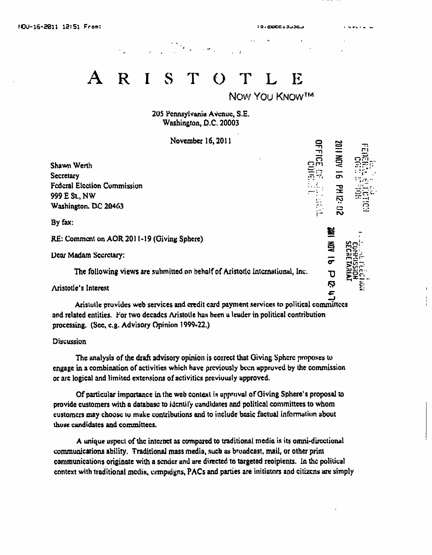$\overline{5}$ 

PM 12: 132

買

 $rac{5}{7}$ 

 $\overline{\mathtt{U}}$ Ņ

E

## $\mathbf R$ S  $\Theta$ E

NOW YOU KNOWIM

205 Pennsylvania Avenue, S.E. Washington, D.C. 20003

November 16, 2011

Shawn Werth **Secretary Federal Election Commission** 999 E St., NW Washington. DC 20463

By fax:

RE: Comment on AOR 2011-19 (Giving Sphere)

Dear Madam Secretary:

The following views are submitted on behalf of Aristotic International, Inc.

Aristotle's Interest

Aristotle provides web services and credit card payment services to political committees and related entities. For two decades Aristotle has been a leader in political contribution processing. (See, e.g. Advisory Opinion 1999-22.)

Discussion

The analysis of the draft advisory opinion is correct that Giving Sphere proposes to engage in a combination of activities which have previously been approved by the commission or are logical and limited extensions of activities previously approved.

Of particular importance in the web context is approval of Giving Sphere's proposal to provide customers with a database to identify candidates and political committees to whom customers may choose to make contributions and to include basic factual information about those candidates and committees.

A unique uspect of the internet as compared to traditional media is its omni-directional communications ability. Traditional mass media, such as broadcast, mail, or other print communications originate with a sender and are directed to targeted recipients. In the political context with traditional media, campaigns, PACs and parties are initiators and citizens are simply